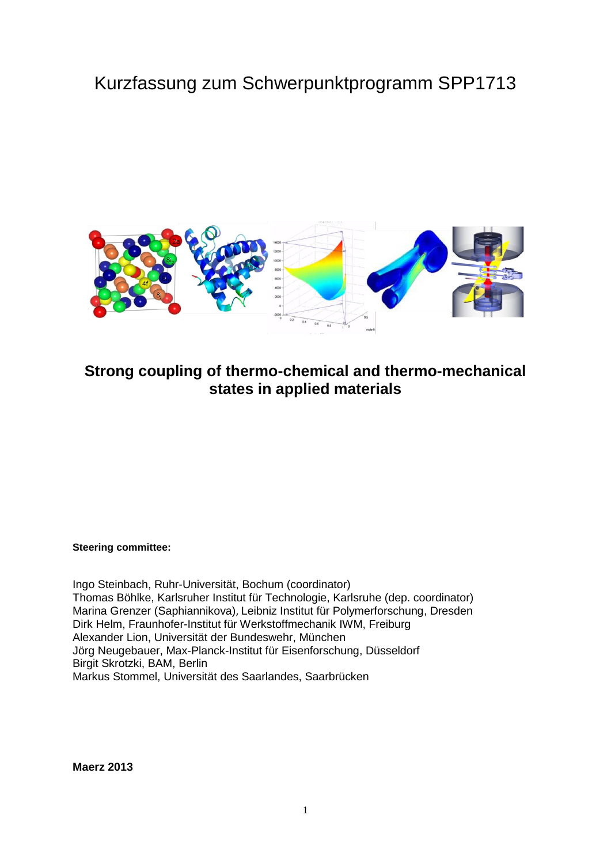# Kurzfassung zum Schwerpunktprogramm SPP1713



# **Strong coupling of thermo-chemical and thermo-mechanical states in applied materials**

**Steering committee:**

Ingo Steinbach, Ruhr-Universität, Bochum (coordinator) Thomas Böhlke, Karlsruher Institut für Technologie, Karlsruhe (dep. coordinator) Marina Grenzer (Saphiannikova), Leibniz Institut für Polymerforschung, Dresden Dirk Helm, Fraunhofer-Institut für Werkstoffmechanik IWM, Freiburg Alexander Lion, Universität der Bundeswehr, München Jörg Neugebauer, Max-Planck-Institut für Eisenforschung, Düsseldorf Birgit Skrotzki, BAM, Berlin Markus Stommel, Universität des Saarlandes, Saarbrücken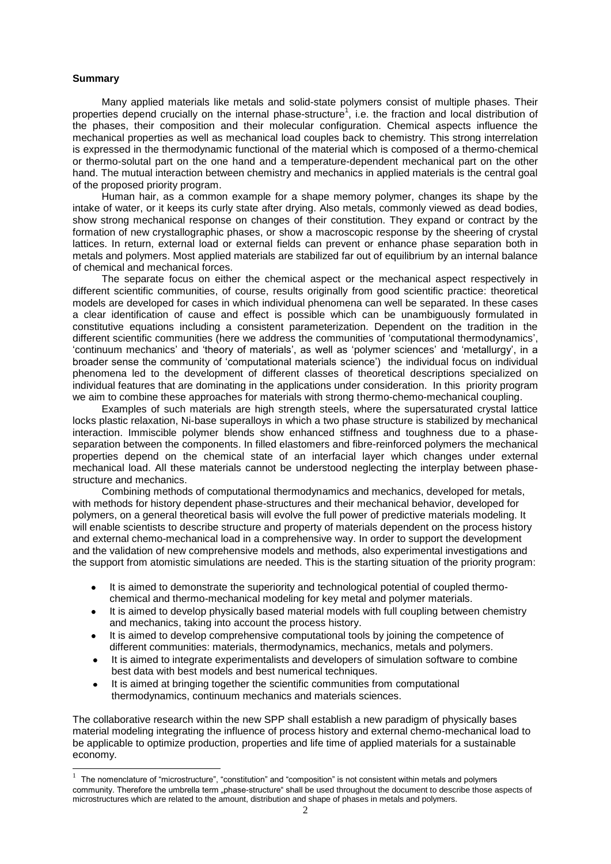#### **Summary**

Many applied materials like metals and solid-state polymers consist of multiple phases. Their properties depend crucially on the internal phase-structure<sup>1</sup>, i.e. the fraction and local distribution of the phases, their composition and their molecular configuration. Chemical aspects influence the mechanical properties as well as mechanical load couples back to chemistry. This strong interrelation is expressed in the thermodynamic functional of the material which is composed of a thermo-chemical or thermo-solutal part on the one hand and a temperature-dependent mechanical part on the other hand. The mutual interaction between chemistry and mechanics in applied materials is the central goal of the proposed priority program.

Human hair, as a common example for a shape memory polymer, changes its shape by the intake of water, or it keeps its curly state after drying. Also metals, commonly viewed as dead bodies, show strong mechanical response on changes of their constitution. They expand or contract by the formation of new crystallographic phases, or show a macroscopic response by the sheering of crystal lattices. In return, external load or external fields can prevent or enhance phase separation both in metals and polymers. Most applied materials are stabilized far out of equilibrium by an internal balance of chemical and mechanical forces.

The separate focus on either the chemical aspect or the mechanical aspect respectively in different scientific communities, of course, results originally from good scientific practice: theoretical models are developed for cases in which individual phenomena can well be separated. In these cases a clear identification of cause and effect is possible which can be unambiguously formulated in constitutive equations including a consistent parameterization. Dependent on the tradition in the different scientific communities (here we address the communities of 'computational thermodynamics', 'continuum mechanics' and 'theory of materials', as well as 'polymer sciences' and 'metallurgy', in a broader sense the community of 'computational materials science') the individual focus on individual phenomena led to the development of different classes of theoretical descriptions specialized on individual features that are dominating in the applications under consideration. In this priority program we aim to combine these approaches for materials with strong thermo-chemo-mechanical coupling.

Examples of such materials are high strength steels, where the supersaturated crystal lattice locks plastic relaxation, Ni-base superalloys in which a two phase structure is stabilized by mechanical interaction. Immiscible polymer blends show enhanced stiffness and toughness due to a phaseseparation between the components. In filled elastomers and fibre-reinforced polymers the mechanical properties depend on the chemical state of an interfacial layer which changes under external mechanical load. All these materials cannot be understood neglecting the interplay between phasestructure and mechanics.

Combining methods of computational thermodynamics and mechanics, developed for metals, with methods for history dependent phase-structures and their mechanical behavior, developed for polymers, on a general theoretical basis will evolve the full power of predictive materials modeling. It will enable scientists to describe structure and property of materials dependent on the process history and external chemo-mechanical load in a comprehensive way. In order to support the development and the validation of new comprehensive models and methods, also experimental investigations and the support from atomistic simulations are needed. This is the starting situation of the priority program:

- It is aimed to demonstrate the superiority and technological potential of coupled thermochemical and thermo-mechanical modeling for key metal and polymer materials.
- It is aimed to develop physically based material models with full coupling between chemistry  $\bullet$ and mechanics, taking into account the process history.
- It is aimed to develop comprehensive computational tools by joining the competence of  $\bullet$ different communities: materials, thermodynamics, mechanics, metals and polymers.
- It is aimed to integrate experimentalists and developers of simulation software to combine  $\bullet$ best data with best models and best numerical techniques.
- It is aimed at bringing together the scientific communities from computational  $\bullet$ thermodynamics, continuum mechanics and materials sciences.

The collaborative research within the new SPP shall establish a new paradigm of physically bases material modeling integrating the influence of process history and external chemo-mechanical load to be applicable to optimize production, properties and life time of applied materials for a sustainable economy.

 1 The nomenclature of "microstructure", "constitution" and "composition" is not consistent within metals and polymers community. Therefore the umbrella term "phase-structure" shall be used throughout the document to describe those aspects of microstructures which are related to the amount, distribution and shape of phases in metals and polymers.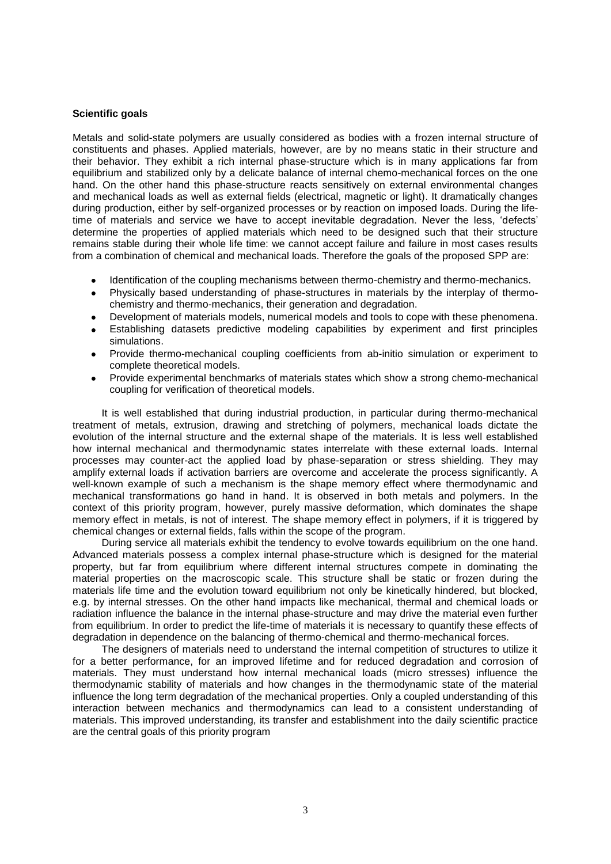#### **Scientific goals**

Metals and solid-state polymers are usually considered as bodies with a frozen internal structure of constituents and phases. Applied materials, however, are by no means static in their structure and their behavior. They exhibit a rich internal phase-structure which is in many applications far from equilibrium and stabilized only by a delicate balance of internal chemo-mechanical forces on the one hand. On the other hand this phase-structure reacts sensitively on external environmental changes and mechanical loads as well as external fields (electrical, magnetic or light). It dramatically changes during production, either by self-organized processes or by reaction on imposed loads. During the lifetime of materials and service we have to accept inevitable degradation. Never the less, 'defects' determine the properties of applied materials which need to be designed such that their structure remains stable during their whole life time: we cannot accept failure and failure in most cases results from a combination of chemical and mechanical loads. Therefore the goals of the proposed SPP are:

- Identification of the coupling mechanisms between thermo-chemistry and thermo-mechanics.
- Physically based understanding of phase-structures in materials by the interplay of thermochemistry and thermo-mechanics, their generation and degradation.
- Development of materials models, numerical models and tools to cope with these phenomena.
- Establishing datasets predictive modeling capabilities by experiment and first principles simulations.
- Provide thermo-mechanical coupling coefficients from ab-initio simulation or experiment to complete theoretical models.
- Provide experimental benchmarks of materials states which show a strong chemo-mechanical coupling for verification of theoretical models.

It is well established that during industrial production, in particular during thermo-mechanical treatment of metals, extrusion, drawing and stretching of polymers, mechanical loads dictate the evolution of the internal structure and the external shape of the materials. It is less well established how internal mechanical and thermodynamic states interrelate with these external loads. Internal processes may counter-act the applied load by phase-separation or stress shielding. They may amplify external loads if activation barriers are overcome and accelerate the process significantly. A well-known example of such a mechanism is the shape memory effect where thermodynamic and mechanical transformations go hand in hand. It is observed in both metals and polymers. In the context of this priority program, however, purely massive deformation, which dominates the shape memory effect in metals, is not of interest. The shape memory effect in polymers, if it is triggered by chemical changes or external fields, falls within the scope of the program.

During service all materials exhibit the tendency to evolve towards equilibrium on the one hand. Advanced materials possess a complex internal phase-structure which is designed for the material property, but far from equilibrium where different internal structures compete in dominating the material properties on the macroscopic scale. This structure shall be static or frozen during the materials life time and the evolution toward equilibrium not only be kinetically hindered, but blocked, e.g. by internal stresses. On the other hand impacts like mechanical, thermal and chemical loads or radiation influence the balance in the internal phase-structure and may drive the material even further from equilibrium. In order to predict the life-time of materials it is necessary to quantify these effects of degradation in dependence on the balancing of thermo-chemical and thermo-mechanical forces.

The designers of materials need to understand the internal competition of structures to utilize it for a better performance, for an improved lifetime and for reduced degradation and corrosion of materials. They must understand how internal mechanical loads (micro stresses) influence the thermodynamic stability of materials and how changes in the thermodynamic state of the material influence the long term degradation of the mechanical properties. Only a coupled understanding of this interaction between mechanics and thermodynamics can lead to a consistent understanding of materials. This improved understanding, its transfer and establishment into the daily scientific practice are the central goals of this priority program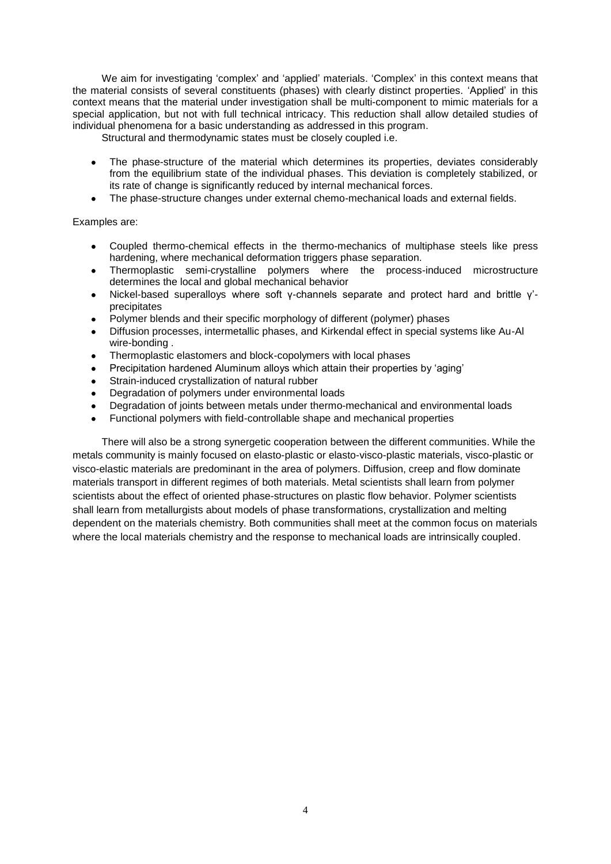We aim for investigating 'complex' and 'applied' materials. 'Complex' in this context means that the material consists of several constituents (phases) with clearly distinct properties. 'Applied' in this context means that the material under investigation shall be multi-component to mimic materials for a special application, but not with full technical intricacy. This reduction shall allow detailed studies of individual phenomena for a basic understanding as addressed in this program.

Structural and thermodynamic states must be closely coupled i.e.

- The phase-structure of the material which determines its properties, deviates considerably from the equilibrium state of the individual phases. This deviation is completely stabilized, or its rate of change is significantly reduced by internal mechanical forces.
- The phase-structure changes under external chemo-mechanical loads and external fields.

# Examples are:

- Coupled thermo-chemical effects in the thermo-mechanics of multiphase steels like press hardening, where mechanical deformation triggers phase separation.
- Thermoplastic semi-crystalline polymers where the process-induced microstructure determines the local and global mechanical behavior
- Nickel-based superalloys where soft γ-channels separate and protect hard and brittle γ' precipitates
- Polymer blends and their specific morphology of different (polymer) phases
- Diffusion processes, intermetallic phases, and Kirkendal effect in special systems like Au-Al wire-bonding .
- Thermoplastic elastomers and block-copolymers with local phases  $\bullet$
- Precipitation hardened Aluminum alloys which attain their properties by 'aging'
- Strain-induced crystallization of natural rubber
- Degradation of polymers under environmental loads
- Degradation of joints between metals under thermo-mechanical and environmental loads
- Functional polymers with field-controllable shape and mechanical properties

There will also be a strong synergetic cooperation between the different communities. While the metals community is mainly focused on elasto-plastic or elasto-visco-plastic materials, visco-plastic or visco-elastic materials are predominant in the area of polymers. Diffusion, creep and flow dominate materials transport in different regimes of both materials. Metal scientists shall learn from polymer scientists about the effect of oriented phase-structures on plastic flow behavior. Polymer scientists shall learn from metallurgists about models of phase transformations, crystallization and melting dependent on the materials chemistry. Both communities shall meet at the common focus on materials where the local materials chemistry and the response to mechanical loads are intrinsically coupled.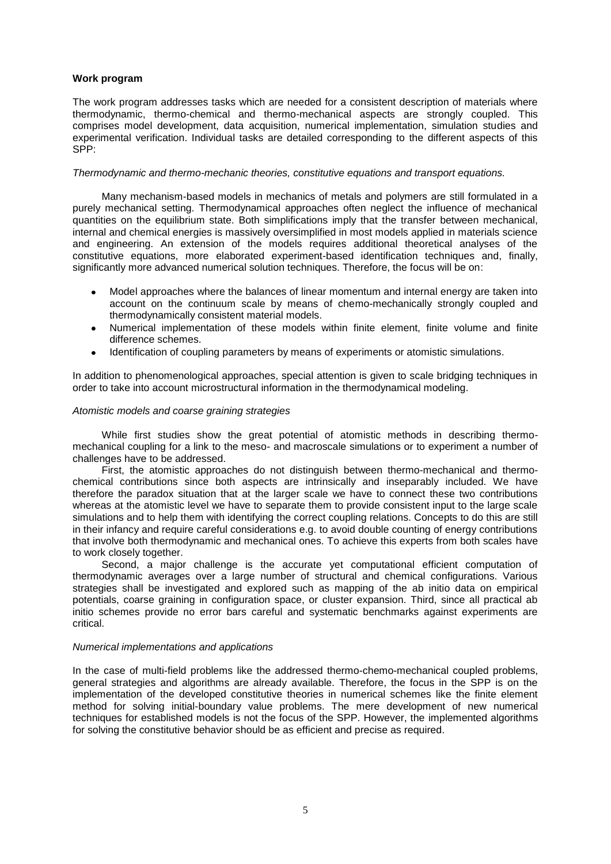#### **Work program**

The work program addresses tasks which are needed for a consistent description of materials where thermodynamic, thermo-chemical and thermo-mechanical aspects are strongly coupled. This comprises model development, data acquisition, numerical implementation, simulation studies and experimental verification. Individual tasks are detailed corresponding to the different aspects of this SPP:

#### *Thermodynamic and thermo-mechanic theories, constitutive equations and transport equations.*

Many mechanism-based models in mechanics of metals and polymers are still formulated in a purely mechanical setting. Thermodynamical approaches often neglect the influence of mechanical quantities on the equilibrium state. Both simplifications imply that the transfer between mechanical, internal and chemical energies is massively oversimplified in most models applied in materials science and engineering. An extension of the models requires additional theoretical analyses of the constitutive equations, more elaborated experiment-based identification techniques and, finally, significantly more advanced numerical solution techniques. Therefore, the focus will be on:

- Model approaches where the balances of linear momentum and internal energy are taken into account on the continuum scale by means of chemo-mechanically strongly coupled and thermodynamically consistent material models.
- Numerical implementation of these models within finite element, finite volume and finite  $\bullet$ difference schemes.
- Identification of coupling parameters by means of experiments or atomistic simulations.  $\bullet$

In addition to phenomenological approaches, special attention is given to scale bridging techniques in order to take into account microstructural information in the thermodynamical modeling.

#### *Atomistic models and coarse graining strategies*

While first studies show the great potential of atomistic methods in describing thermomechanical coupling for a link to the meso- and macroscale simulations or to experiment a number of challenges have to be addressed.

First, the atomistic approaches do not distinguish between thermo-mechanical and thermochemical contributions since both aspects are intrinsically and inseparably included. We have therefore the paradox situation that at the larger scale we have to connect these two contributions whereas at the atomistic level we have to separate them to provide consistent input to the large scale simulations and to help them with identifying the correct coupling relations. Concepts to do this are still in their infancy and require careful considerations e.g. to avoid double counting of energy contributions that involve both thermodynamic and mechanical ones. To achieve this experts from both scales have to work closely together.

Second, a major challenge is the accurate yet computational efficient computation of thermodynamic averages over a large number of structural and chemical configurations. Various strategies shall be investigated and explored such as mapping of the ab initio data on empirical potentials, coarse graining in configuration space, or cluster expansion. Third, since all practical ab initio schemes provide no error bars careful and systematic benchmarks against experiments are critical.

#### *Numerical implementations and applications*

In the case of multi-field problems like the addressed thermo-chemo-mechanical coupled problems, general strategies and algorithms are already available. Therefore, the focus in the SPP is on the implementation of the developed constitutive theories in numerical schemes like the finite element method for solving initial-boundary value problems. The mere development of new numerical techniques for established models is not the focus of the SPP. However, the implemented algorithms for solving the constitutive behavior should be as efficient and precise as required.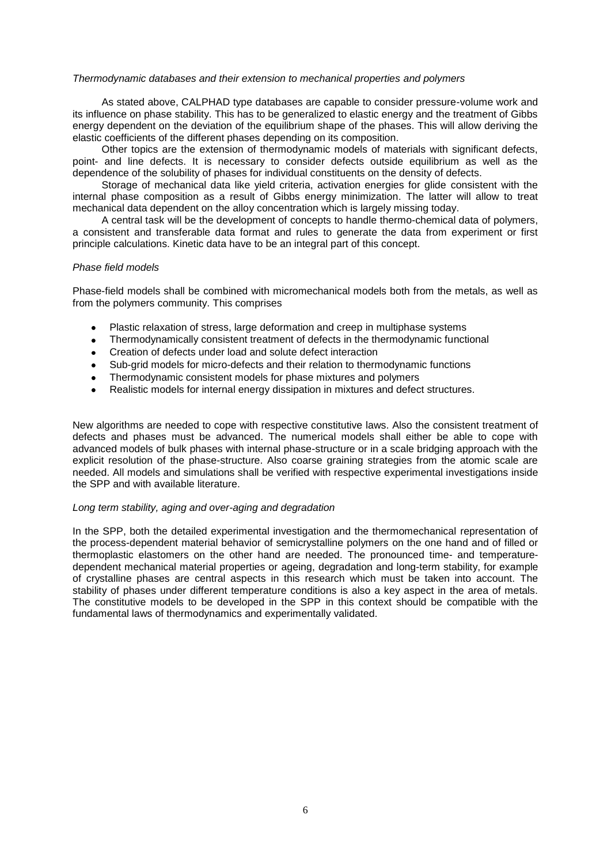#### *Thermodynamic databases and their extension to mechanical properties and polymers*

As stated above, CALPHAD type databases are capable to consider pressure-volume work and its influence on phase stability. This has to be generalized to elastic energy and the treatment of Gibbs energy dependent on the deviation of the equilibrium shape of the phases. This will allow deriving the elastic coefficients of the different phases depending on its composition.

Other topics are the extension of thermodynamic models of materials with significant defects, point- and line defects. It is necessary to consider defects outside equilibrium as well as the dependence of the solubility of phases for individual constituents on the density of defects.

Storage of mechanical data like yield criteria, activation energies for glide consistent with the internal phase composition as a result of Gibbs energy minimization. The latter will allow to treat mechanical data dependent on the alloy concentration which is largely missing today.

A central task will be the development of concepts to handle thermo-chemical data of polymers, a consistent and transferable data format and rules to generate the data from experiment or first principle calculations. Kinetic data have to be an integral part of this concept.

#### *Phase field models*

Phase-field models shall be combined with micromechanical models both from the metals, as well as from the polymers community. This comprises

- Plastic relaxation of stress, large deformation and creep in multiphase systems
- Thermodynamically consistent treatment of defects in the thermodynamic functional  $\bullet$
- Creation of defects under load and solute defect interaction  $\bullet$
- Sub-grid models for micro-defects and their relation to thermodynamic functions  $\bullet$
- Thermodynamic consistent models for phase mixtures and polymers  $\bullet$
- Realistic models for internal energy dissipation in mixtures and defect structures.

New algorithms are needed to cope with respective constitutive laws. Also the consistent treatment of defects and phases must be advanced. The numerical models shall either be able to cope with advanced models of bulk phases with internal phase-structure or in a scale bridging approach with the explicit resolution of the phase-structure. Also coarse graining strategies from the atomic scale are needed. All models and simulations shall be verified with respective experimental investigations inside the SPP and with available literature.

#### *Long term stability, aging and over-aging and degradation*

In the SPP, both the detailed experimental investigation and the thermomechanical representation of the process-dependent material behavior of semicrystalline polymers on the one hand and of filled or thermoplastic elastomers on the other hand are needed. The pronounced time- and temperaturedependent mechanical material properties or ageing, degradation and long-term stability, for example of crystalline phases are central aspects in this research which must be taken into account. The stability of phases under different temperature conditions is also a key aspect in the area of metals. The constitutive models to be developed in the SPP in this context should be compatible with the fundamental laws of thermodynamics and experimentally validated.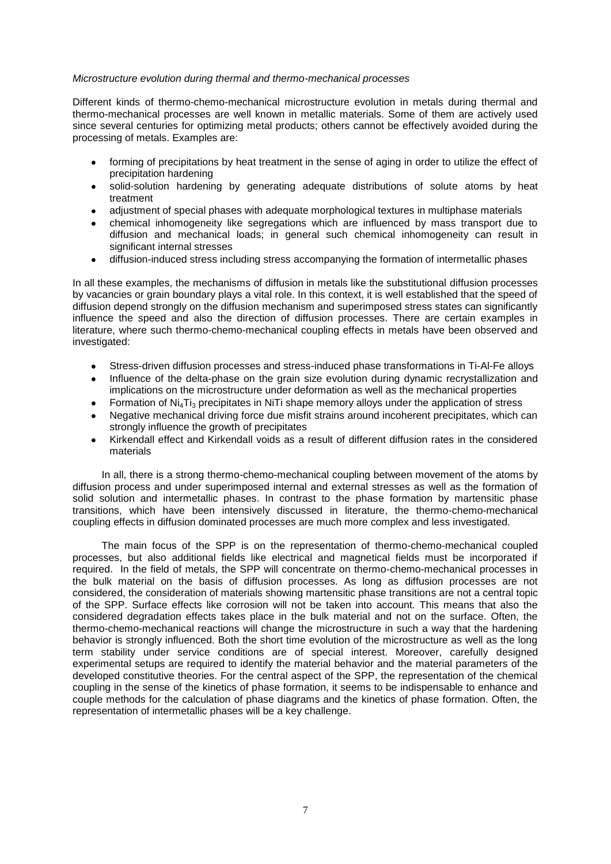#### *Microstructure evolution during thermal and thermo-mechanical processes*

Different kinds of thermo-chemo-mechanical microstructure evolution in metals during thermal and thermo-mechanical processes are well known in metallic materials. Some of them are actively used since several centuries for optimizing metal products; others cannot be effectively avoided during the processing of metals. Examples are:

- forming of precipitations by heat treatment in the sense of aging in order to utilize the effect of precipitation hardening
- solid-solution hardening by generating adequate distributions of solute atoms by heat  $\bullet$ treatment
- adjustment of special phases with adequate morphological textures in multiphase materials
- chemical inhomogeneity like segregations which are influenced by mass transport due to diffusion and mechanical loads; in general such chemical inhomogeneity can result in significant internal stresses
- diffusion-induced stress including stress accompanying the formation of intermetallic phases  $\bullet$

In all these examples, the mechanisms of diffusion in metals like the substitutional diffusion processes by vacancies or grain boundary plays a vital role. In this context, it is well established that the speed of diffusion depend strongly on the diffusion mechanism and superimposed stress states can significantly influence the speed and also the direction of diffusion processes. There are certain examples in literature, where such thermo-chemo-mechanical coupling effects in metals have been observed and investigated:

- Stress-driven diffusion processes and stress-induced phase transformations in Ti-Al-Fe alloys  $\bullet$
- Influence of the delta-phase on the grain size evolution during dynamic recrystallization and implications on the microstructure under deformation as well as the mechanical properties
- Formation of  $N_{i4}$ Ti<sub>3</sub> precipitates in NiTi shape memory alloys under the application of stress
- Negative mechanical driving force due misfit strains around incoherent precipitates, which can strongly influence the growth of precipitates
- Kirkendall effect and Kirkendall voids as a result of different diffusion rates in the considered  $\bullet$ materials

In all, there is a strong thermo-chemo-mechanical coupling between movement of the atoms by diffusion process and under superimposed internal and external stresses as well as the formation of solid solution and intermetallic phases. In contrast to the phase formation by martensitic phase transitions, which have been intensively discussed in literature, the thermo-chemo-mechanical coupling effects in diffusion dominated processes are much more complex and less investigated.

The main focus of the SPP is on the representation of thermo-chemo-mechanical coupled processes, but also additional fields like electrical and magnetical fields must be incorporated if required. In the field of metals, the SPP will concentrate on thermo-chemo-mechanical processes in the bulk material on the basis of diffusion processes. As long as diffusion processes are not considered, the consideration of materials showing martensitic phase transitions are not a central topic of the SPP. Surface effects like corrosion will not be taken into account. This means that also the considered degradation effects takes place in the bulk material and not on the surface. Often, the thermo-chemo-mechanical reactions will change the microstructure in such a way that the hardening behavior is strongly influenced. Both the short time evolution of the microstructure as well as the long term stability under service conditions are of special interest. Moreover, carefully designed experimental setups are required to identify the material behavior and the material parameters of the developed constitutive theories. For the central aspect of the SPP, the representation of the chemical coupling in the sense of the kinetics of phase formation, it seems to be indispensable to enhance and couple methods for the calculation of phase diagrams and the kinetics of phase formation. Often, the representation of intermetallic phases will be a key challenge.